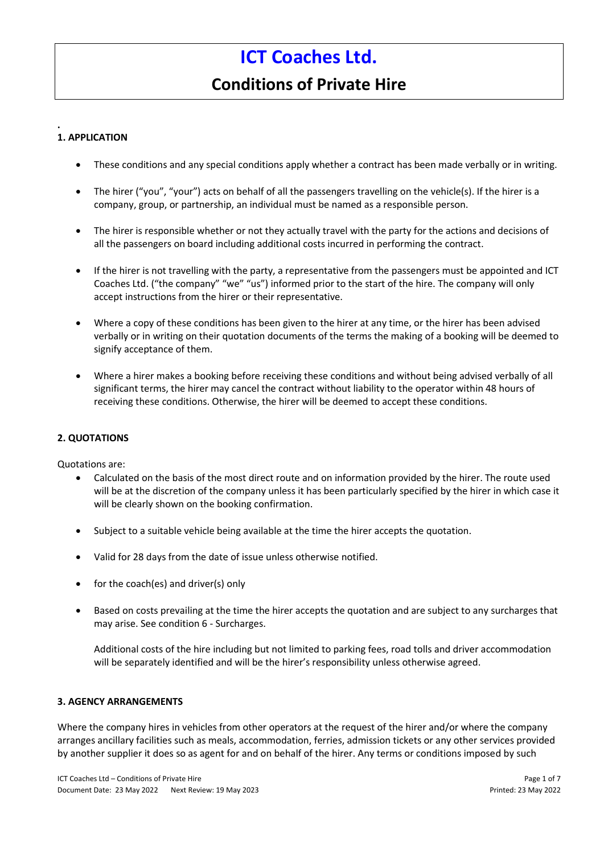# **Conditions of Private Hire**

#### **. 1. APPLICATION**

- These conditions and any special conditions apply whether a contract has been made verbally or in writing.
- The hirer ("you", "your") acts on behalf of all the passengers travelling on the vehicle(s). If the hirer is a company, group, or partnership, an individual must be named as a responsible person.
- The hirer is responsible whether or not they actually travel with the party for the actions and decisions of all the passengers on board including additional costs incurred in performing the contract.
- If the hirer is not travelling with the party, a representative from the passengers must be appointed and ICT Coaches Ltd. ("the company" "we" "us") informed prior to the start of the hire. The company will only accept instructions from the hirer or their representative.
- Where a copy of these conditions has been given to the hirer at any time, or the hirer has been advised verbally or in writing on their quotation documents of the terms the making of a booking will be deemed to signify acceptance of them.
- Where a hirer makes a booking before receiving these conditions and without being advised verbally of all significant terms, the hirer may cancel the contract without liability to the operator within 48 hours of receiving these conditions. Otherwise, the hirer will be deemed to accept these conditions.

## **2. QUOTATIONS**

Quotations are:

- Calculated on the basis of the most direct route and on information provided by the hirer. The route used will be at the discretion of the company unless it has been particularly specified by the hirer in which case it will be clearly shown on the booking confirmation.
- Subject to a suitable vehicle being available at the time the hirer accepts the quotation.
- Valid for 28 days from the date of issue unless otherwise notified.
- for the coach(es) and driver(s) only
- Based on costs prevailing at the time the hirer accepts the quotation and are subject to any surcharges that may arise. See condition 6 - Surcharges.

Additional costs of the hire including but not limited to parking fees, road tolls and driver accommodation will be separately identified and will be the hirer's responsibility unless otherwise agreed.

## **3. AGENCY ARRANGEMENTS**

Where the company hires in vehicles from other operators at the request of the hirer and/or where the company arranges ancillary facilities such as meals, accommodation, ferries, admission tickets or any other services provided by another supplier it does so as agent for and on behalf of the hirer. Any terms or conditions imposed by such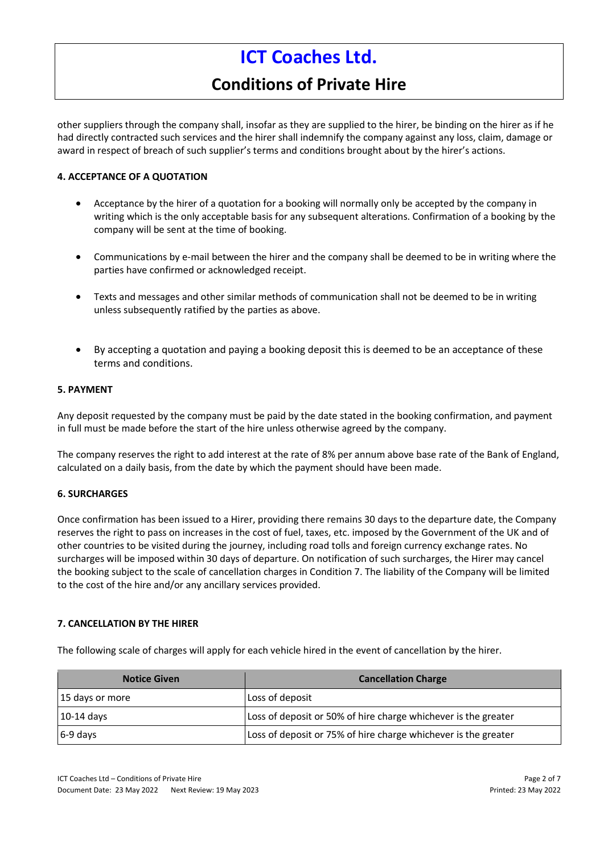# **Conditions of Private Hire**

other suppliers through the company shall, insofar as they are supplied to the hirer, be binding on the hirer as if he had directly contracted such services and the hirer shall indemnify the company against any loss, claim, damage or award in respect of breach of such supplier's terms and conditions brought about by the hirer's actions.

## **4. ACCEPTANCE OF A QUOTATION**

- Acceptance by the hirer of a quotation for a booking will normally only be accepted by the company in writing which is the only acceptable basis for any subsequent alterations. Confirmation of a booking by the company will be sent at the time of booking.
- Communications by e-mail between the hirer and the company shall be deemed to be in writing where the parties have confirmed or acknowledged receipt.
- Texts and messages and other similar methods of communication shall not be deemed to be in writing unless subsequently ratified by the parties as above.
- By accepting a quotation and paying a booking deposit this is deemed to be an acceptance of these terms and conditions.

#### **5. PAYMENT**

Any deposit requested by the company must be paid by the date stated in the booking confirmation, and payment in full must be made before the start of the hire unless otherwise agreed by the company.

The company reserves the right to add interest at the rate of 8% per annum above base rate of the Bank of England, calculated on a daily basis, from the date by which the payment should have been made.

## **6. SURCHARGES**

Once confirmation has been issued to a Hirer, providing there remains 30 days to the departure date, the Company reserves the right to pass on increases in the cost of fuel, taxes, etc. imposed by the Government of the UK and of other countries to be visited during the journey, including road tolls and foreign currency exchange rates. No surcharges will be imposed within 30 days of departure. On notification of such surcharges, the Hirer may cancel the booking subject to the scale of cancellation charges in Condition 7. The liability of the Company will be limited to the cost of the hire and/or any ancillary services provided.

## **7. CANCELLATION BY THE HIRER**

The following scale of charges will apply for each vehicle hired in the event of cancellation by the hirer.

| <b>Notice Given</b> | <b>Cancellation Charge</b>                                     |
|---------------------|----------------------------------------------------------------|
| 15 days or more     | Loss of deposit                                                |
| $\vert$ 10-14 days  | Loss of deposit or 50% of hire charge whichever is the greater |
| 6-9 days            | Loss of deposit or 75% of hire charge whichever is the greater |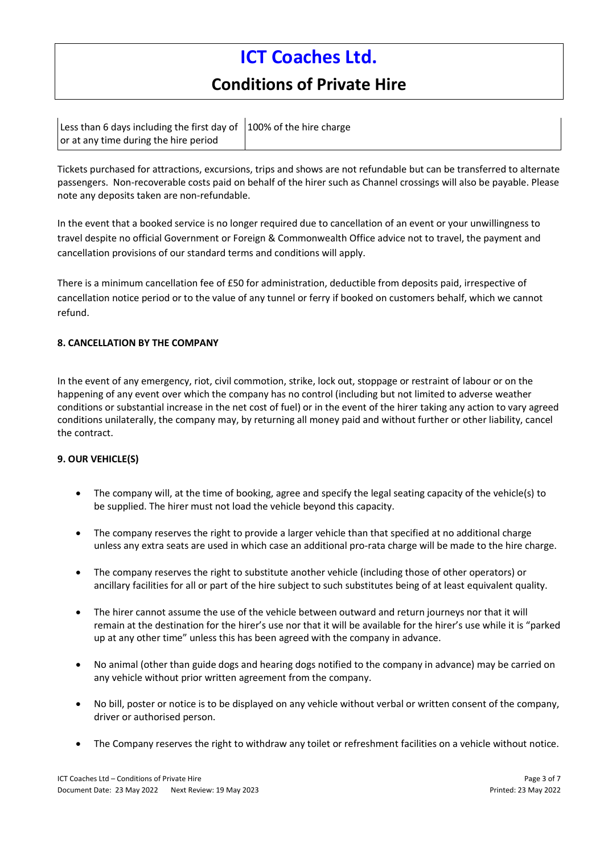# **Conditions of Private Hire**

|                                       | Less than 6 days including the first day of $\vert$ 100% of the hire charge |  |
|---------------------------------------|-----------------------------------------------------------------------------|--|
| or at any time during the hire period |                                                                             |  |

Tickets purchased for attractions, excursions, trips and shows are not refundable but can be transferred to alternate passengers. Non-recoverable costs paid on behalf of the hirer such as Channel crossings will also be payable. Please note any deposits taken are non-refundable.

In the event that a booked service is no longer required due to cancellation of an event or your unwillingness to travel despite no official Government or Foreign & Commonwealth Office advice not to travel, the payment and cancellation provisions of our standard terms and conditions will apply.

There is a minimum cancellation fee of £50 for administration, deductible from deposits paid, irrespective of cancellation notice period or to the value of any tunnel or ferry if booked on customers behalf, which we cannot refund.

## **8. CANCELLATION BY THE COMPANY**

In the event of any emergency, riot, civil commotion, strike, lock out, stoppage or restraint of labour or on the happening of any event over which the company has no control (including but not limited to adverse weather conditions or substantial increase in the net cost of fuel) or in the event of the hirer taking any action to vary agreed conditions unilaterally, the company may, by returning all money paid and without further or other liability, cancel the contract.

## **9. OUR VEHICLE(S)**

- The company will, at the time of booking, agree and specify the legal seating capacity of the vehicle(s) to be supplied. The hirer must not load the vehicle beyond this capacity.
- The company reserves the right to provide a larger vehicle than that specified at no additional charge unless any extra seats are used in which case an additional pro-rata charge will be made to the hire charge.
- The company reserves the right to substitute another vehicle (including those of other operators) or ancillary facilities for all or part of the hire subject to such substitutes being of at least equivalent quality.
- The hirer cannot assume the use of the vehicle between outward and return journeys nor that it will remain at the destination for the hirer's use nor that it will be available for the hirer's use while it is "parked up at any other time" unless this has been agreed with the company in advance.
- No animal (other than guide dogs and hearing dogs notified to the company in advance) may be carried on any vehicle without prior written agreement from the company.
- No bill, poster or notice is to be displayed on any vehicle without verbal or written consent of the company, driver or authorised person.
- The Company reserves the right to withdraw any toilet or refreshment facilities on a vehicle without notice.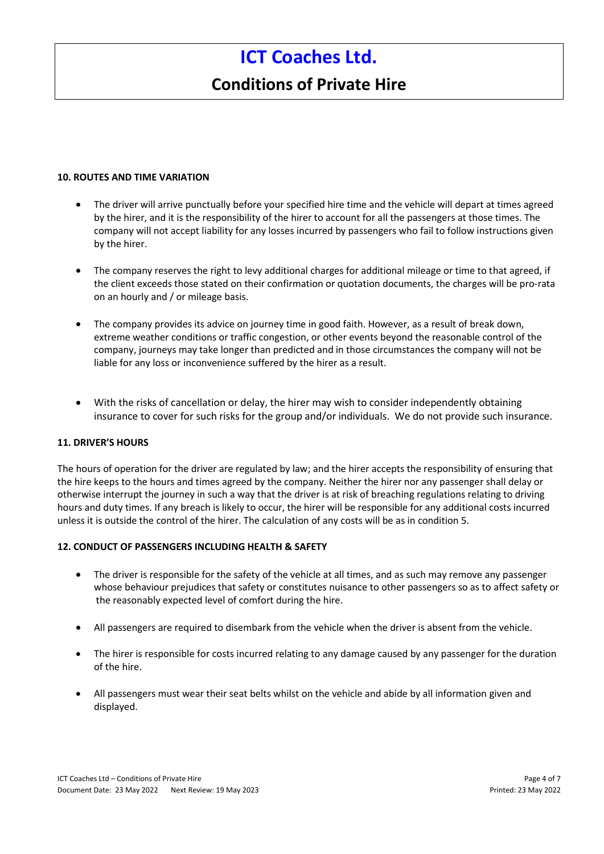# **Conditions of Private Hire**

#### **10. ROUTES AND TIME VARIATION**

- The driver will arrive punctually before your specified hire time and the vehicle will depart at times agreed by the hirer, and it is the responsibility of the hirer to account for all the passengers at those times. The company will not accept liability for any losses incurred by passengers who fail to follow instructions given by the hirer.
- The company reserves the right to levy additional charges for additional mileage or time to that agreed, if the client exceeds those stated on their confirmation or quotation documents, the charges will be pro-rata on an hourly and / or mileage basis.
- The company provides its advice on journey time in good faith. However, as a result of break down, extreme weather conditions or traffic congestion, or other events beyond the reasonable control of the company, journeys may take longer than predicted and in those circumstances the company will not be liable for any loss or inconvenience suffered by the hirer as a result.
- With the risks of cancellation or delay, the hirer may wish to consider independently obtaining insurance to cover for such risks for the group and/or individuals. We do not provide such insurance.

## **11. DRIVER'S HOURS**

The hours of operation for the driver are regulated by law; and the hirer accepts the responsibility of ensuring that the hire keeps to the hours and times agreed by the company. Neither the hirer nor any passenger shall delay or otherwise interrupt the journey in such a way that the driver is at risk of breaching regulations relating to driving hours and duty times. If any breach is likely to occur, the hirer will be responsible for any additional costs incurred unless it is outside the control of the hirer. The calculation of any costs will be as in condition 5.

## **12. CONDUCT OF PASSENGERS INCLUDING HEALTH & SAFETY**

- The driver is responsible for the safety of the vehicle at all times, and as such may remove any passenger whose behaviour prejudices that safety or constitutes nuisance to other passengers so as to affect safety or the reasonably expected level of comfort during the hire.
- All passengers are required to disembark from the vehicle when the driver is absent from the vehicle.
- The hirer is responsible for costs incurred relating to any damage caused by any passenger for the duration of the hire.
- All passengers must wear their seat belts whilst on the vehicle and abide by all information given and displayed.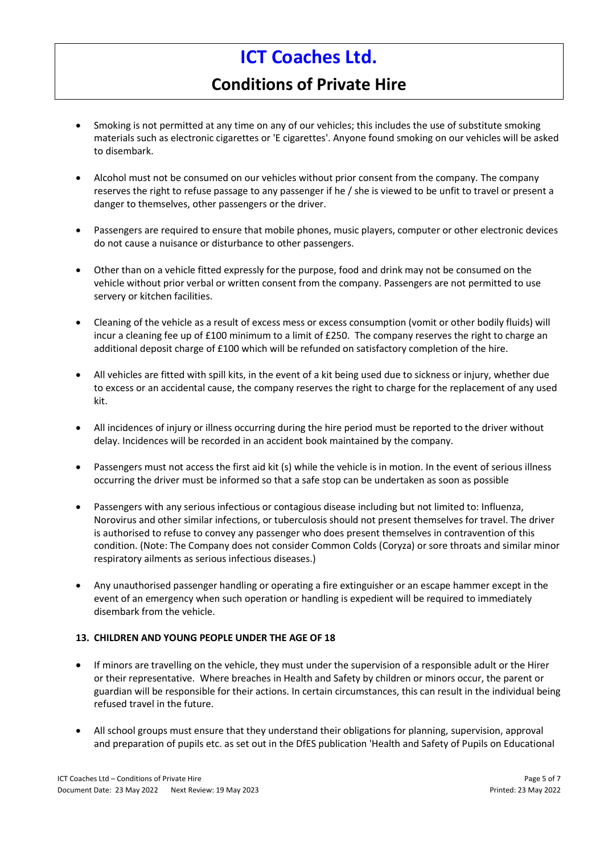# **Conditions of Private Hire**

- Smoking is not permitted at any time on any of our vehicles; this includes the use of substitute smoking materials such as electronic cigarettes or 'E cigarettes'. Anyone found smoking on our vehicles will be asked to disembark.
- Alcohol must not be consumed on our vehicles without prior consent from the company. The company reserves the right to refuse passage to any passenger if he / she is viewed to be unfit to travel or present a danger to themselves, other passengers or the driver.
- Passengers are required to ensure that mobile phones, music players, computer or other electronic devices do not cause a nuisance or disturbance to other passengers.
- Other than on a vehicle fitted expressly for the purpose, food and drink may not be consumed on the vehicle without prior verbal or written consent from the company. Passengers are not permitted to use servery or kitchen facilities.
- Cleaning of the vehicle as a result of excess mess or excess consumption (vomit or other bodily fluids) will incur a cleaning fee up of £100 minimum to a limit of £250. The company reserves the right to charge an additional deposit charge of £100 which will be refunded on satisfactory completion of the hire.
- All vehicles are fitted with spill kits, in the event of a kit being used due to sickness or injury, whether due to excess or an accidental cause, the company reserves the right to charge for the replacement of any used kit.
- All incidences of injury or illness occurring during the hire period must be reported to the driver without delay. Incidences will be recorded in an accident book maintained by the company.
- Passengers must not access the first aid kit (s) while the vehicle is in motion. In the event of serious illness occurring the driver must be informed so that a safe stop can be undertaken as soon as possible
- Passengers with any serious infectious or contagious disease including but not limited to: Influenza, Norovirus and other similar infections, or tuberculosis should not present themselves for travel. The driver is authorised to refuse to convey any passenger who does present themselves in contravention of this condition. (Note: The Company does not consider Common Colds (Coryza) or sore throats and similar minor respiratory ailments as serious infectious diseases.)
- Any unauthorised passenger handling or operating a fire extinguisher or an escape hammer except in the event of an emergency when such operation or handling is expedient will be required to immediately disembark from the vehicle.

## **13. CHILDREN AND YOUNG PEOPLE UNDER THE AGE OF 18**

- If minors are travelling on the vehicle, they must under the supervision of a responsible adult or the Hirer or their representative. Where breaches in Health and Safety by children or minors occur, the parent or guardian will be responsible for their actions. In certain circumstances, this can result in the individual being refused travel in the future.
- All school groups must ensure that they understand their obligations for planning, supervision, approval and preparation of pupils etc. as set out in the DfES publication 'Health and Safety of Pupils on Educational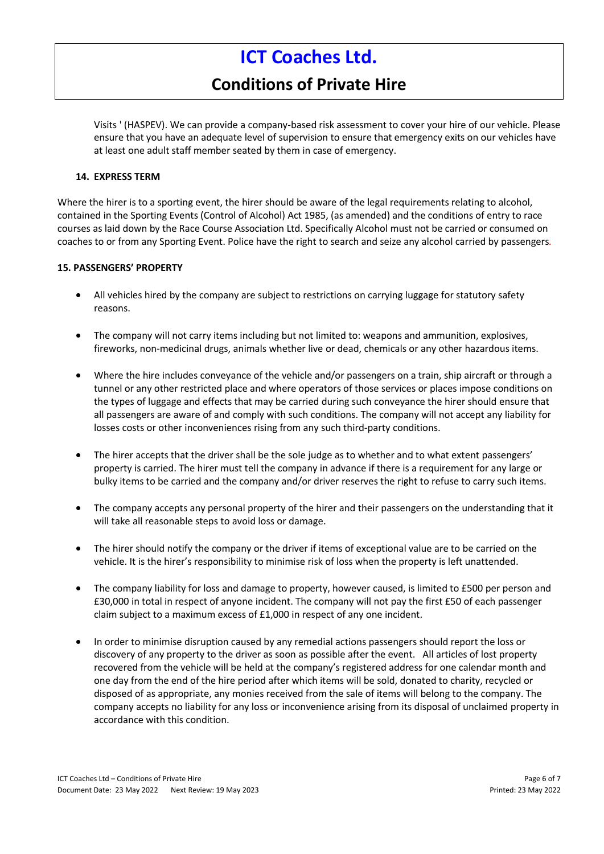# **Conditions of Private Hire**

Visits ' (HASPEV). We can provide a company-based risk assessment to cover your hire of our vehicle. Please ensure that you have an adequate level of supervision to ensure that emergency exits on our vehicles have at least one adult staff member seated by them in case of emergency.

#### **14. EXPRESS TERM**

Where the hirer is to a sporting event, the hirer should be aware of the legal requirements relating to alcohol, contained in the Sporting Events (Control of Alcohol) Act 1985, (as amended) and the conditions of entry to race courses as laid down by the Race Course Association Ltd. Specifically Alcohol must not be carried or consumed on coaches to or from any Sporting Event. Police have the right to search and seize any alcohol carried by passengers*.* 

#### **15. PASSENGERS' PROPERTY**

- All vehicles hired by the company are subject to restrictions on carrying luggage for statutory safety reasons.
- The company will not carry items including but not limited to: weapons and ammunition, explosives, fireworks, non-medicinal drugs, animals whether live or dead, chemicals or any other hazardous items.
- Where the hire includes conveyance of the vehicle and/or passengers on a train, ship aircraft or through a tunnel or any other restricted place and where operators of those services or places impose conditions on the types of luggage and effects that may be carried during such conveyance the hirer should ensure that all passengers are aware of and comply with such conditions. The company will not accept any liability for losses costs or other inconveniences rising from any such third-party conditions.
- The hirer accepts that the driver shall be the sole judge as to whether and to what extent passengers' property is carried. The hirer must tell the company in advance if there is a requirement for any large or bulky items to be carried and the company and/or driver reserves the right to refuse to carry such items.
- The company accepts any personal property of the hirer and their passengers on the understanding that it will take all reasonable steps to avoid loss or damage.
- The hirer should notify the company or the driver if items of exceptional value are to be carried on the vehicle. It is the hirer's responsibility to minimise risk of loss when the property is left unattended.
- The company liability for loss and damage to property, however caused, is limited to £500 per person and £30,000 in total in respect of anyone incident. The company will not pay the first £50 of each passenger claim subject to a maximum excess of £1,000 in respect of any one incident.
- In order to minimise disruption caused by any remedial actions passengers should report the loss or discovery of any property to the driver as soon as possible after the event. All articles of lost property recovered from the vehicle will be held at the company's registered address for one calendar month and one day from the end of the hire period after which items will be sold, donated to charity, recycled or disposed of as appropriate, any monies received from the sale of items will belong to the company. The company accepts no liability for any loss or inconvenience arising from its disposal of unclaimed property in accordance with this condition.